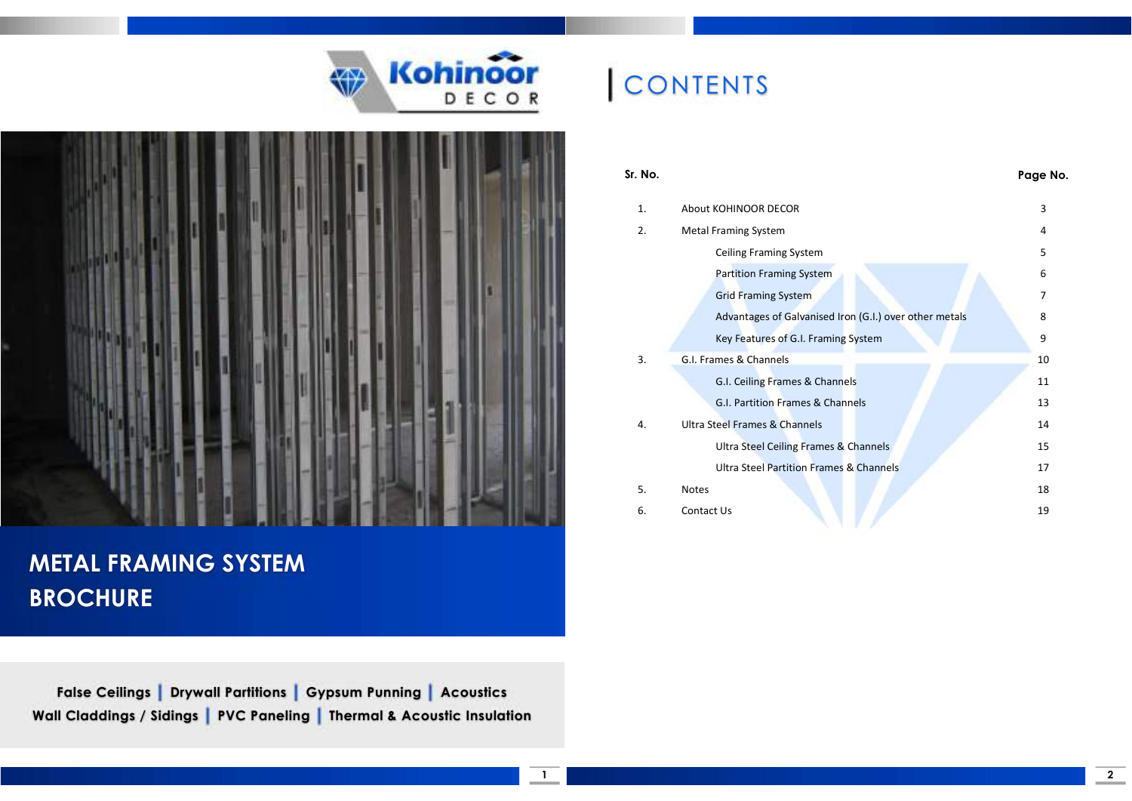



### METAL FRAMING SYSTEM **BROCHURE**

False Ceilings | Drywall Partitions | Gypsum Punning | Acoustics Wall Claddings / Sidings | PVC Paneling | Thermal & Acoustic Insulation

# **CONTENTS**

| Sr. No. |                                                        | Page No. |
|---------|--------------------------------------------------------|----------|
| 1.      | About KOHINOOR DECOR                                   | 3        |
| 2.      | <b>Metal Framing System</b>                            | 4        |
|         | Ceiling Framing System                                 | 5        |
|         | <b>Partition Framing System</b>                        | 6        |
|         | <b>Grid Framing System</b>                             | 7        |
|         | Advantages of Galvanised Iron (G.I.) over other metals | 8        |
|         | Key Features of G.I. Framing System                    | 9        |
| 3.      | G.I. Frames & Channels                                 | 10       |
|         | G.I. Ceiling Frames & Channels                         | 11       |
|         | G.I. Partition Frames & Channels                       | 13       |
| 4.      | Ultra Steel Frames & Channels                          | 14       |
|         | Ultra Steel Ceiling Frames & Channels                  | 15       |
|         | <b>Ultra Steel Partition Frames &amp; Channels</b>     | 17       |
| 5.      | <b>Notes</b>                                           | 18       |
| 6.      | Contact Us                                             | 19       |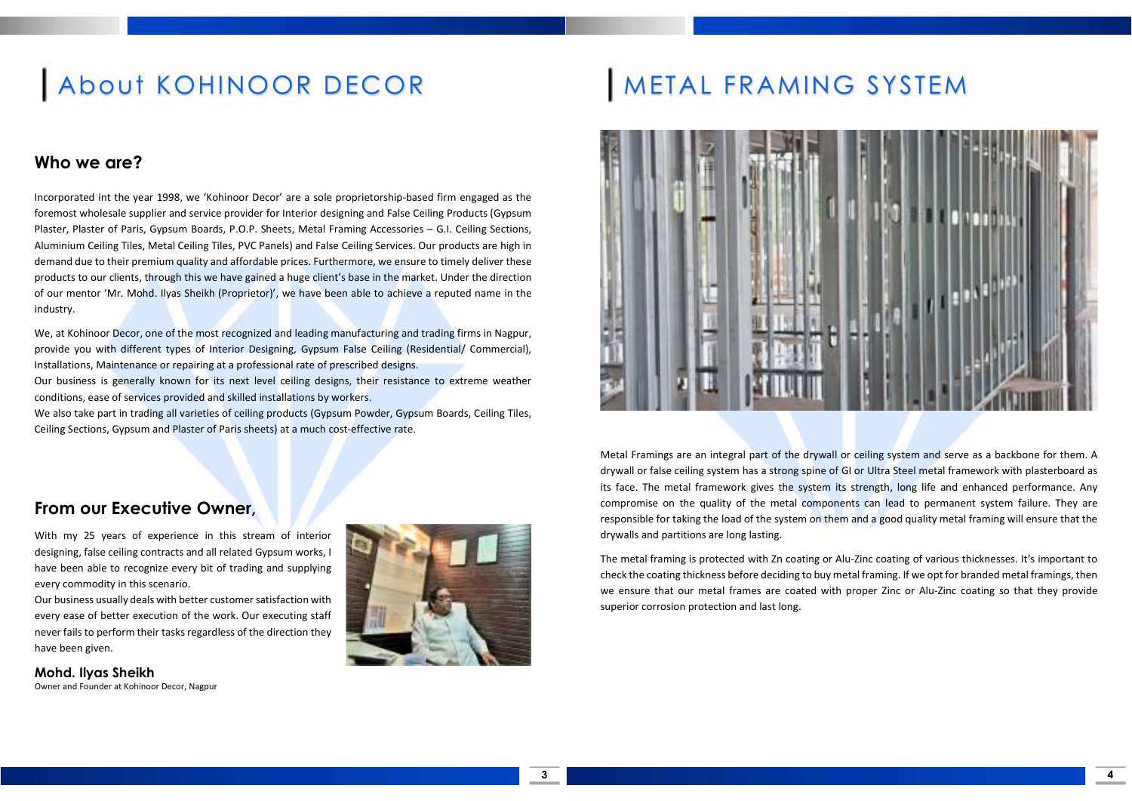# About KOHINOOR DECOR

### Who we are?

Incorporated int the year 1998, we 'Kohinoor Decor' are a sole proprietorship-based firm engaged as the foremost wholesale supplier and service provider for Interior designing and False Ceiling Products (Gypsum Plaster, Plaster of Paris, Gypsum Boards, P.O.P. Sheets, Metal Framing Accessories – G.I. Ceiling Sections, Aluminium Ceiling Tiles, Metal Ceiling Tiles, PVC Panels) and False Ceiling Services. Our products are high in demand due to their premium quality and affordable prices. Furthermore, we ensure to timely deliver these products to our clients, through this we have gained a huge client's base in the market. Under the direction of our mentor 'Mr. Mohd. Ilyas Sheikh (Proprietor)', we have been able to achieve a reputed name in the industry.

We, at Kohinoor Decor, one of the most recognized and leading manufacturing and trading firms in Nagpur, provide you with different types of Interior Designing, Gypsum False Ceiling (Residential/ Commercial), Installations, Maintenance or repairing at a professional rate of prescribed designs.

Our business is generally known for its next level ceiling designs, their resistance to extreme weather conditions, ease of services provided and skilled installations by workers.

We also take part in trading all varieties of ceiling products (Gypsum Powder, Gypsum Boards, Ceiling Tiles, Ceiling Sections, Gypsum and Plaster of Paris sheets) at a much cost-effective rate.

### METAL FRAMING SYSTEM



Metal Framings are an integral part of the drywall or ceiling system and serve as a backbone for them. A drywall or false ceiling system has a strong spine of GI or Ultra Steel metal framework with plasterboard as its face. The metal framework gives the system its strength, long life and enhanced performance. Any compromise on the quality of the metal components can lead to permanent system failure. They are responsible for taking the load of the system on them and a good quality metal framing will ensure that the drywalls and partitions are long lasting.

The metal framing is protected with Zn coating or Alu-Zinc coating of various thicknesses. It's important to check the coating thickness before deciding to buy metal framing. If we opt for branded metal framings, then we ensure that our metal frames are coated with proper Zinc or Alu-Zinc coating so that they provide superior corrosion protection and last long.

### From our Executive Owner,

With my 25 years of experience in this stream of interior designing, false ceiling contracts and all related Gypsum works, I have been able to recognize every bit of trading and supplying every commodity in this scenario.

Our business usually deals with better customer satisfaction with every ease of better execution of the work. Our executing staff never fails to perform their tasks regardless of the direction they have been given.

Mohd. Ilyas Sheikh Owner and Founder at Kohinoor Decor, Nagpur



4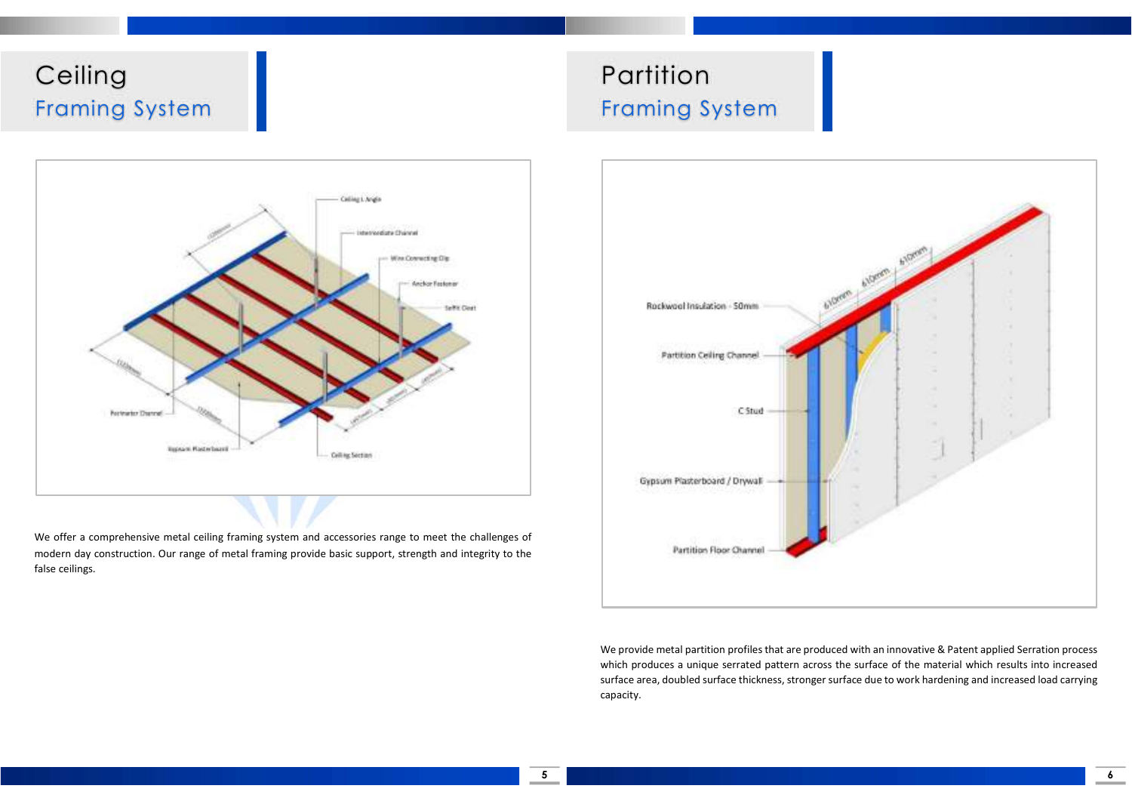### **Ceiling** Framing System





We offer a comprehensive metal ceiling framing system and accessories range to meet the challenges of modern day construction. Our range of metal framing provide basic support, strength and integrity to the false ceilings.



We provide metal partition profiles that are produced with an innovative & Patent applied Serration process which produces a unique serrated pattern across the surface of the material which results into increased surface area, doubled surface thickness, stronger surface due to work hardening and increased load carrying capacity.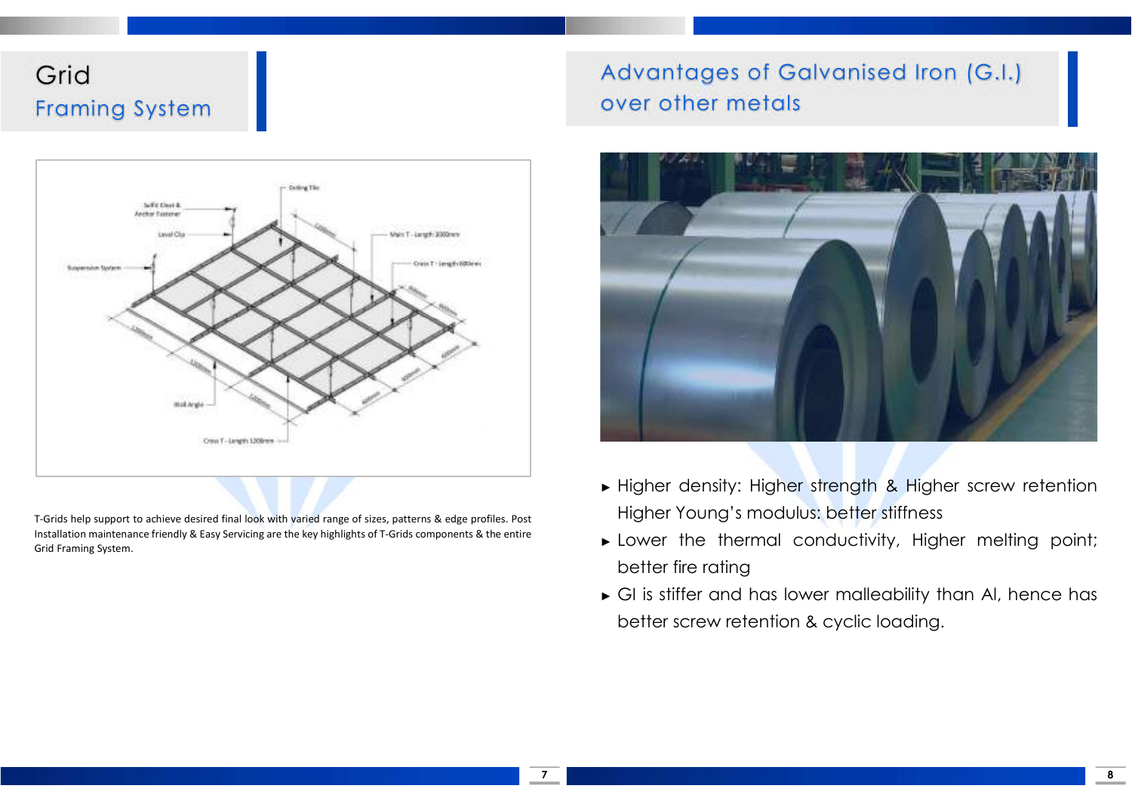### Grid Framing System

# Collins Tile **Self & Clear & Anchor Tustors** Vain T-Length 3000mm Own T - Imagh 600mm **MAR Are** Own T-Jangth 1208nm

T-Grids help support to achieve desired final look with varied range of sizes, patterns & edge profiles. Post Installation maintenance friendly & Easy Servicing are the key highlights of T-Grids components & the entire Grid Framing System.

### Advantages of Galvanised Iron (G.I.) over other metals



- ► Higher density: Higher strength & Higher screw retention Higher Young's modulus: better stiffness
- ► Lower the thermal conductivity, Higher melting point; better fire rating
- ► GI is stiffer and has lower malleability than Al, hence has better screw retention & cyclic loading.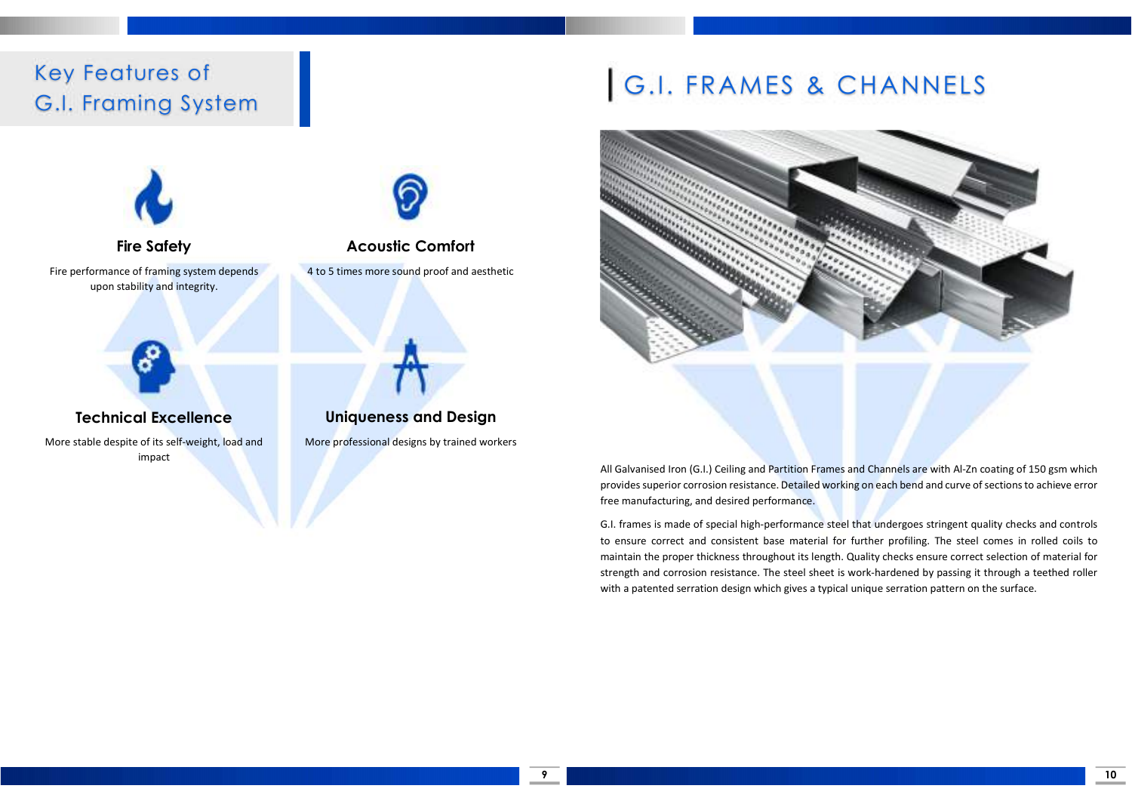### Key Features of G.I. Framing System



Fire Safety Fire performance of framing system depends upon stability and integrity.



### Technical Excellence

More stable despite of its self-weight, load and impact



Acoustic Comfort 4 to 5 times more sound proof and aesthetic



More professional designs by trained workers

# G.I. FRAMES & CHANNELS



All Galvanised Iron (G.I.) Ceiling and Partition Frames and Channels are with Al-Zn coating of 150 gsm which provides superior corrosion resistance. Detailed working on each bend and curve of sections to achieve error free manufacturing, and desired performance.

G.I. frames is made of special high-performance steel that undergoes stringent quality checks and controls to ensure correct and consistent base material for further profiling. The steel comes in rolled coils to maintain the proper thickness throughout its length. Quality checks ensure correct selection of material for strength and corrosion resistance. The steel sheet is work-hardened by passing it through a teethed roller with a patented serration design which gives a typical unique serration pattern on the surface.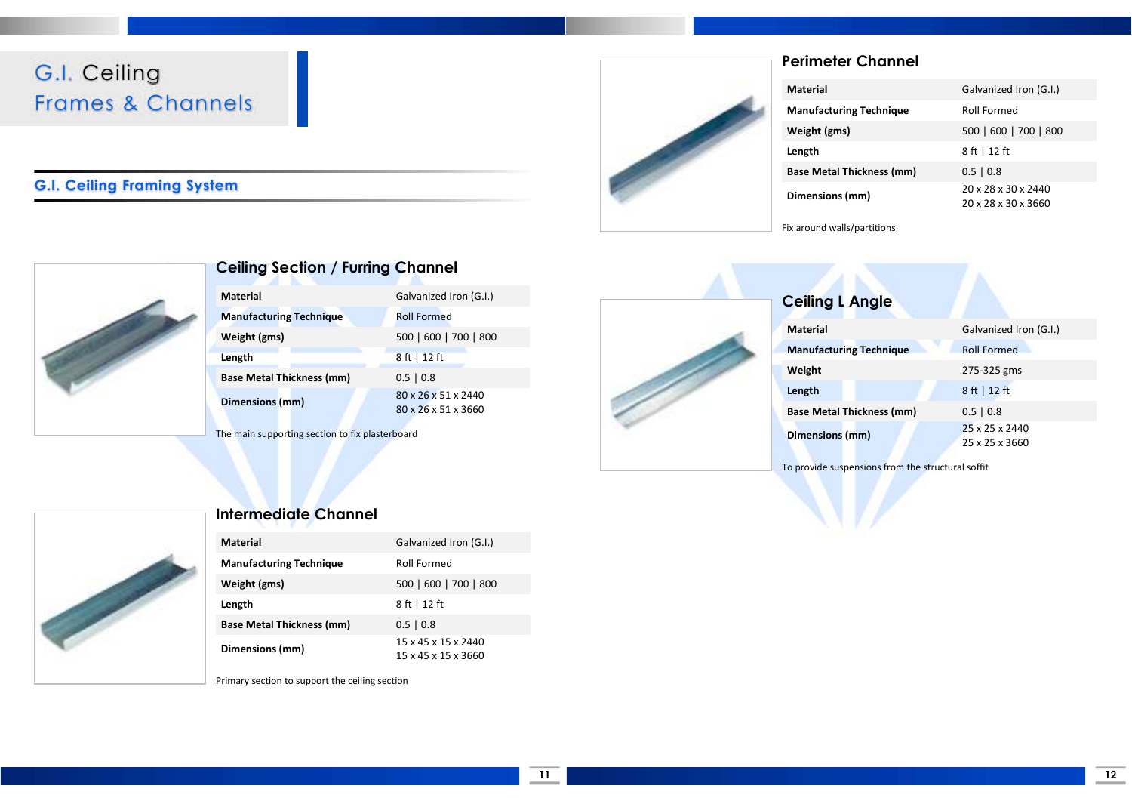### G.I. Ceiling Frames & Channels

#### G.I. Ceiling Framing System



### Perimeter Channel

| Material<br>Galvanized Iron (G.I.)                            |
|---------------------------------------------------------------|
| <b>Manufacturing Technique</b><br><b>Roll Formed</b>          |
| Weight (gms)<br>500   600   700   800                         |
| 8 ft   12 ft<br>Length                                        |
| <b>Base Metal Thickness (mm)</b><br>$0.5 \mid 0.8$            |
| 20 x 28 x 30 x 2440<br>Dimensions (mm)<br>20 x 28 x 30 x 3660 |





#### Ceiling Section / Furring Channel

| Galvanized Iron (G.I.)                     |
|--------------------------------------------|
| <b>Roll Formed</b>                         |
| 500   600   700   800                      |
| 8 ft   12 ft                               |
| $0.5 \mid 0.8$                             |
| 80 x 26 x 51 x 2440<br>80 x 26 x 51 x 3660 |
|                                            |

The main supporting section to fix plasterboard



To provide suspensions from the structural soffit



| <b>Intermediate Channel</b> |
|-----------------------------|
|-----------------------------|

| <b>Material</b>                  | Galvanized Iron (G.I.)                     |
|----------------------------------|--------------------------------------------|
| <b>Manufacturing Technique</b>   | Roll Formed                                |
| Weight (gms)                     | 500   600   700   800                      |
| Length                           | 8 ft   12 ft                               |
| <b>Base Metal Thickness (mm)</b> | $0.5 \mid 0.8$                             |
| Dimensions (mm)                  | 15 x 45 x 15 x 2440<br>15 x 45 x 15 x 3660 |

Primary section to support the ceiling section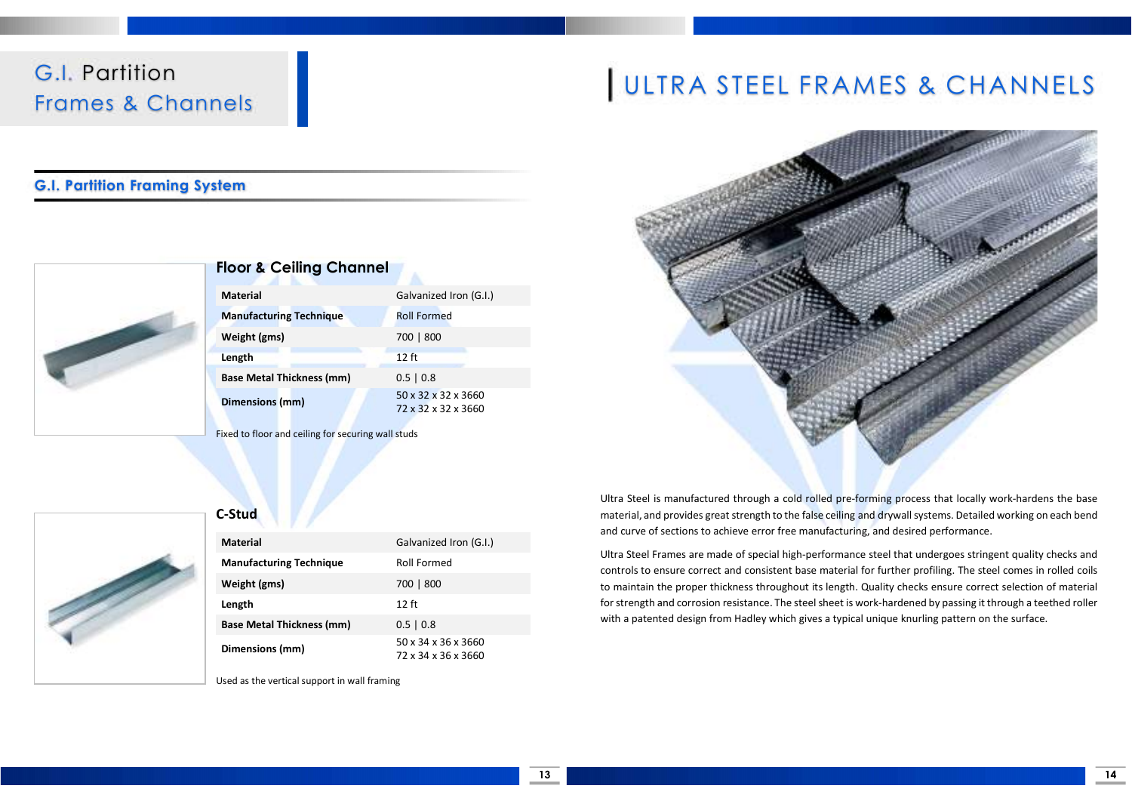### G.I. Partition Frames & Channels

#### G.I. Partition Framing System



#### Floor & Ceiling Channel

| <b>Material</b>                  | Galvanized Iron (G.I.)                     |
|----------------------------------|--------------------------------------------|
| <b>Manufacturing Technique</b>   | <b>Roll Formed</b>                         |
| Weight (gms)                     | 700   800                                  |
| Length                           | $12$ ft                                    |
| <b>Base Metal Thickness (mm)</b> | $0.5 \mid 0.8$                             |
| Dimensions (mm)                  | 50 x 32 x 32 x 3660<br>72 x 32 x 32 x 3660 |

Fixed to floor and ceiling for securing wall studs



#### C-Stud

| <b>Material</b>                  | Galvanized Iron (G.I.)                     |
|----------------------------------|--------------------------------------------|
| <b>Manufacturing Technique</b>   | Roll Formed                                |
| Weight (gms)                     | 700   800                                  |
| Length                           | $12$ ft                                    |
| <b>Base Metal Thickness (mm)</b> | $0.5 \mid 0.8$                             |
| Dimensions (mm)                  | 50 x 34 x 36 x 3660<br>72 x 34 x 36 x 3660 |

Used as the vertical support in wall framing

# ULTRA STEEL FRAMES & CHANNELS



Ultra Steel is manufactured through a cold rolled pre-forming process that locally work-hardens the base material, and provides great strength to the false ceiling and drywall systems. Detailed working on each bend and curve of sections to achieve error free manufacturing, and desired performance.

Ultra Steel Frames are made of special high-performance steel that undergoes stringent quality checks and controls to ensure correct and consistent base material for further profiling. The steel comes in rolled coils to maintain the proper thickness throughout its length. Quality checks ensure correct selection of material for strength and corrosion resistance. The steel sheet is work-hardened by passing it through a teethed roller with a patented design from Hadley which gives a typical unique knurling pattern on the surface.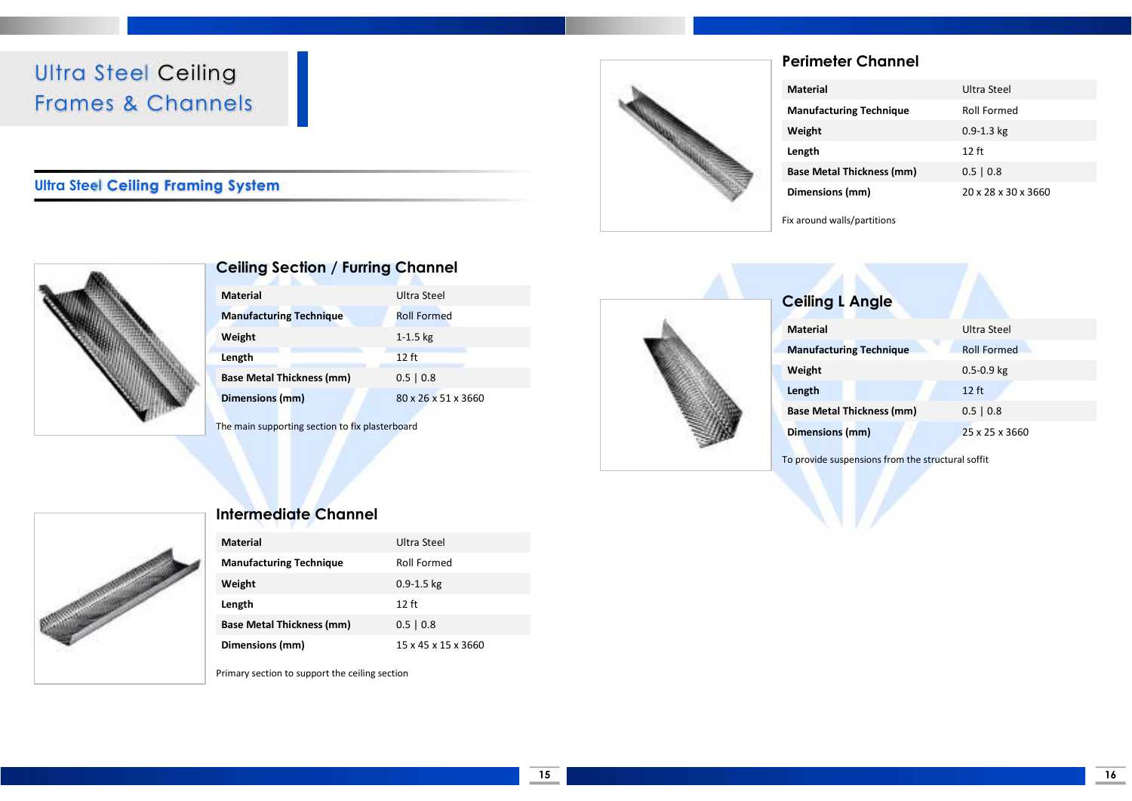### Ultra Steel Ceiling Frames & Channels

#### Ultra Steel Ceiling Framing System



### Perimeter Channel

| <b>Material</b>                  | Ultra Steel         |
|----------------------------------|---------------------|
| <b>Manufacturing Technique</b>   | Roll Formed         |
| Weight                           | $0.9 - 1.3$ kg      |
| Length                           | $12$ ft             |
| <b>Base Metal Thickness (mm)</b> | $0.5 \mid 0.8$      |
| Dimensions (mm)                  | 20 x 28 x 30 x 3660 |





#### Ceiling Section / Furring Channel

| <b>Material</b>                  | Ultra Steel         |
|----------------------------------|---------------------|
| <b>Manufacturing Technique</b>   | <b>Roll Formed</b>  |
| Weight                           | $1 - 1.5$ kg        |
| Length                           | $12$ ft             |
| <b>Base Metal Thickness (mm)</b> | $0.5 \mid 0.8$      |
| Dimensions (mm)                  | 80 x 26 x 51 x 3660 |

The main supporting section to fix plasterboard



| <b>Ceiling L Angle</b>         |                    |
|--------------------------------|--------------------|
| <b>Material</b>                | Ultra Steel        |
| <b>Manufacturing Technique</b> | <b>Roll Formed</b> |
| Weight                         | $0.5 - 0.9$ kg     |

Base Metal Thickness (mm) 0.5 | 0.8 Dimensions (mm) 25 x 25 x 3660

To provide suspensions from the structural soffit

**Length** 12 ft **12 ft** 

#### Intermediate Channel

| <b>Material</b>                  | Ultra Steel         |
|----------------------------------|---------------------|
| <b>Manufacturing Technique</b>   | Roll Formed         |
| Weight                           | $0.9 - 1.5$ kg      |
| Length                           | 12 ft               |
| <b>Base Metal Thickness (mm)</b> | $0.5 \mid 0.8$      |
| Dimensions (mm)                  | 15 x 45 x 15 x 3660 |

Primary section to support the ceiling section

15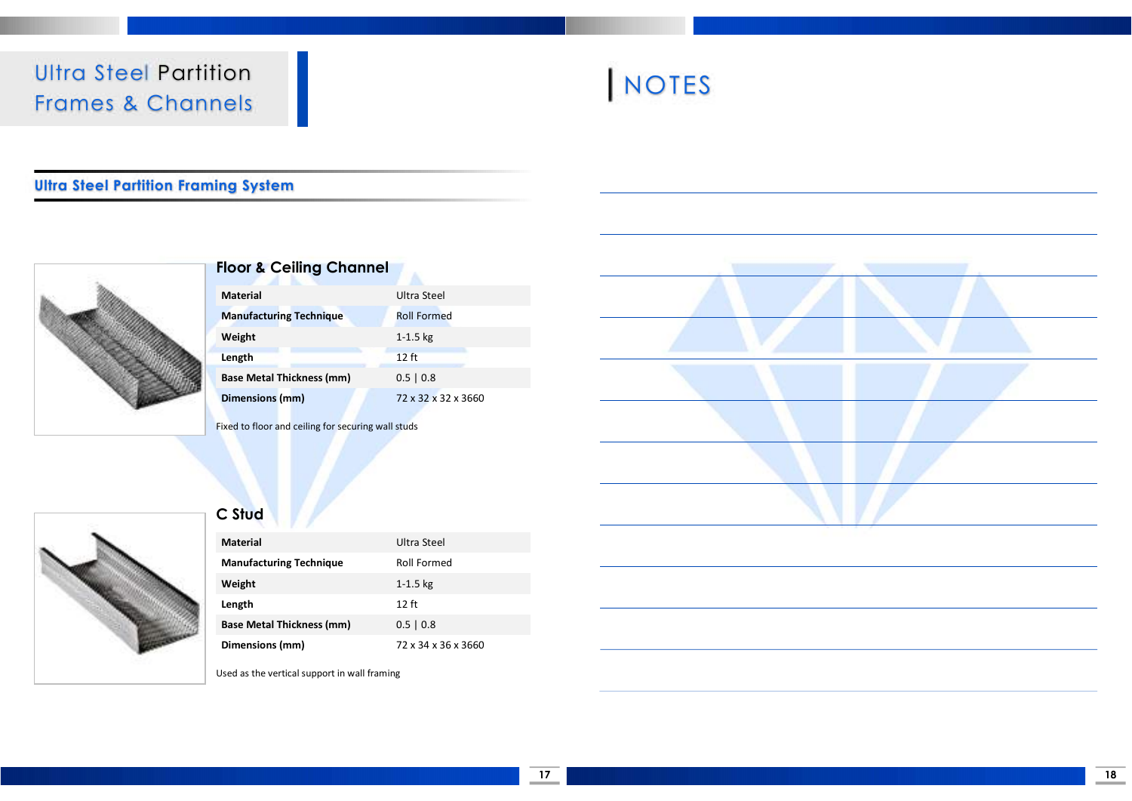### Ultra Steel Partition Frames & Channels



#### Ultra Steel Partition Framing System



### Floor & Ceiling Channel

| <b>Material</b>                  | Ultra Steel         |
|----------------------------------|---------------------|
| <b>Manufacturing Technique</b>   | <b>Roll Formed</b>  |
| Weight                           | $1 - 1.5$ kg        |
| Length                           | $12$ ft             |
| <b>Base Metal Thickness (mm)</b> | $0.5 \mid 0.8$      |
| Dimensions (mm)                  | 72 x 32 x 32 x 3660 |
|                                  |                     |

Fixed to floor and ceiling for securing wall studs



### C Stud

| <b>Material</b>                  | Ultra Steel         |
|----------------------------------|---------------------|
| <b>Manufacturing Technique</b>   | Roll Formed         |
| Weight                           | $1 - 1.5$ kg        |
| Length                           | $12$ ft             |
| <b>Base Metal Thickness (mm)</b> | $0.5 \mid 0.8$      |
| Dimensions (mm)                  | 72 x 34 x 36 x 3660 |

Used as the vertical support in wall framing